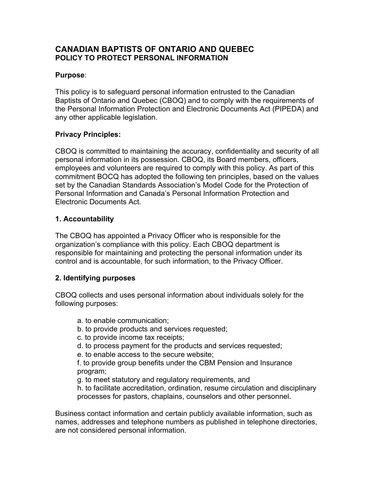# **CANADIAN BAPTISTS OF ONTARIO AND QUEBEC POLICY TO PROTECT PERSONAL INFORMATION**

## **Purpose**:

This policy is to safeguard personal information entrusted to the Canadian Baptists of Ontario and Quebec (CBOQ) and to comply with the requirements of the Personal Information Protection and Electronic Documents Act (PIPEDA) and any other applicable legislation.

#### **Privacy Principles:**

CBOQ is committed to maintaining the accuracy, confidentiality and security of all personal information in its possession. CBOQ, its Board members, officers, employees and volunteers are required to comply with this policy. As part of this commitment BOCQ has adopted the following ten principles, based on the values set by the Canadian Standards Association's Model Code for the Protection of Personal Information and Canada's Personal Information Protection and Electronic Documents Act.

#### **1. Accountability**

The CBOQ has appointed a Privacy Officer who is responsible for the organization's compliance with this policy. Each CBOQ department is responsible for maintaining and protecting the personal information under its control and is accountable, for such information, to the Privacy Officer.

# **2. Identifying purposes**

CBOQ collects and uses personal information about individuals solely for the following purposes:

- a. to enable communication;
- b. to provide products and services requested;
- c. to provide income tax receipts;
- d. to process payment for the products and services requested;
- e. to enable access to the secure website;
- f. to provide group benefits under the CBM Pension and Insurance program;
- g. to meet statutory and regulatory requirements, and
- h. to facilitate accreditation, ordination, resume circulation and disciplinary processes for pastors, chaplains, counselors and other personnel.

Business contact information and certain publicly available information, such as names, addresses and telephone numbers as published in telephone directories, are not considered personal information.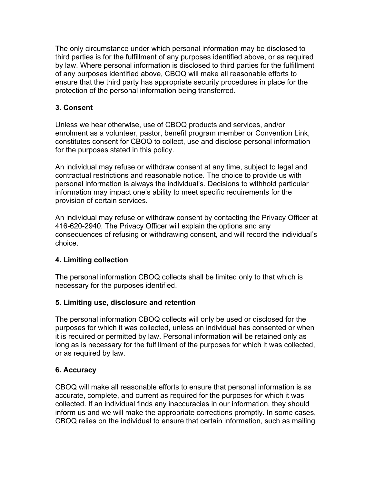The only circumstance under which personal information may be disclosed to third parties is for the fulfillment of any purposes identified above, or as required by law. Where personal information is disclosed to third parties for the fulfillment of any purposes identified above, CBOQ will make all reasonable efforts to ensure that the third party has appropriate security procedures in place for the protection of the personal information being transferred.

#### **3. Consent**

Unless we hear otherwise, use of CBOQ products and services, and/or enrolment as a volunteer, pastor, benefit program member or Convention Link, constitutes consent for CBOQ to collect, use and disclose personal information for the purposes stated in this policy.

An individual may refuse or withdraw consent at any time, subject to legal and contractual restrictions and reasonable notice. The choice to provide us with personal information is always the individual's. Decisions to withhold particular information may impact one's ability to meet specific requirements for the provision of certain services.

An individual may refuse or withdraw consent by contacting the Privacy Officer at 416-620-2940. The Privacy Officer will explain the options and any consequences of refusing or withdrawing consent, and will record the individual's choice.

#### **4. Limiting collection**

The personal information CBOQ collects shall be limited only to that which is necessary for the purposes identified.

#### **5. Limiting use, disclosure and retention**

The personal information CBOQ collects will only be used or disclosed for the purposes for which it was collected, unless an individual has consented or when it is required or permitted by law. Personal information will be retained only as long as is necessary for the fulfillment of the purposes for which it was collected, or as required by law.

#### **6. Accuracy**

CBOQ will make all reasonable efforts to ensure that personal information is as accurate, complete, and current as required for the purposes for which it was collected. If an individual finds any inaccuracies in our information, they should inform us and we will make the appropriate corrections promptly. In some cases, CBOQ relies on the individual to ensure that certain information, such as mailing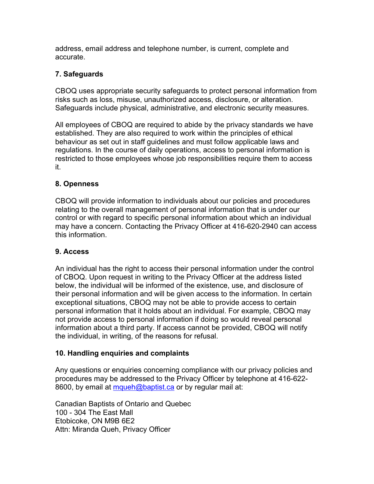address, email address and telephone number, is current, complete and accurate.

## **7. Safeguards**

CBOQ uses appropriate security safeguards to protect personal information from risks such as loss, misuse, unauthorized access, disclosure, or alteration. Safeguards include physical, administrative, and electronic security measures.

All employees of CBOQ are required to abide by the privacy standards we have established. They are also required to work within the principles of ethical behaviour as set out in staff guidelines and must follow applicable laws and regulations. In the course of daily operations, access to personal information is restricted to those employees whose job responsibilities require them to access it.

# **8. Openness**

CBOQ will provide information to individuals about our policies and procedures relating to the overall management of personal information that is under our control or with regard to specific personal information about which an individual may have a concern. Contacting the Privacy Officer at 416-620-2940 can access this information.

#### **9. Access**

An individual has the right to access their personal information under the control of CBOQ. Upon request in writing to the Privacy Officer at the address listed below, the individual will be informed of the existence, use, and disclosure of their personal information and will be given access to the information. In certain exceptional situations, CBOQ may not be able to provide access to certain personal information that it holds about an individual. For example, CBOQ may not provide access to personal information if doing so would reveal personal information about a third party. If access cannot be provided, CBOQ will notify the individual, in writing, of the reasons for refusal.

#### **10. Handling enquiries and complaints**

Any questions or enquiries concerning compliance with our privacy policies and procedures may be addressed to the Privacy Officer by telephone at 416-622- 8600, by email at mqueh@baptist.ca or by regular mail at:

Canadian Baptists of Ontario and Quebec 100 - 304 The East Mall Etobicoke, ON M9B 6E2 Attn: Miranda Queh, Privacy Officer